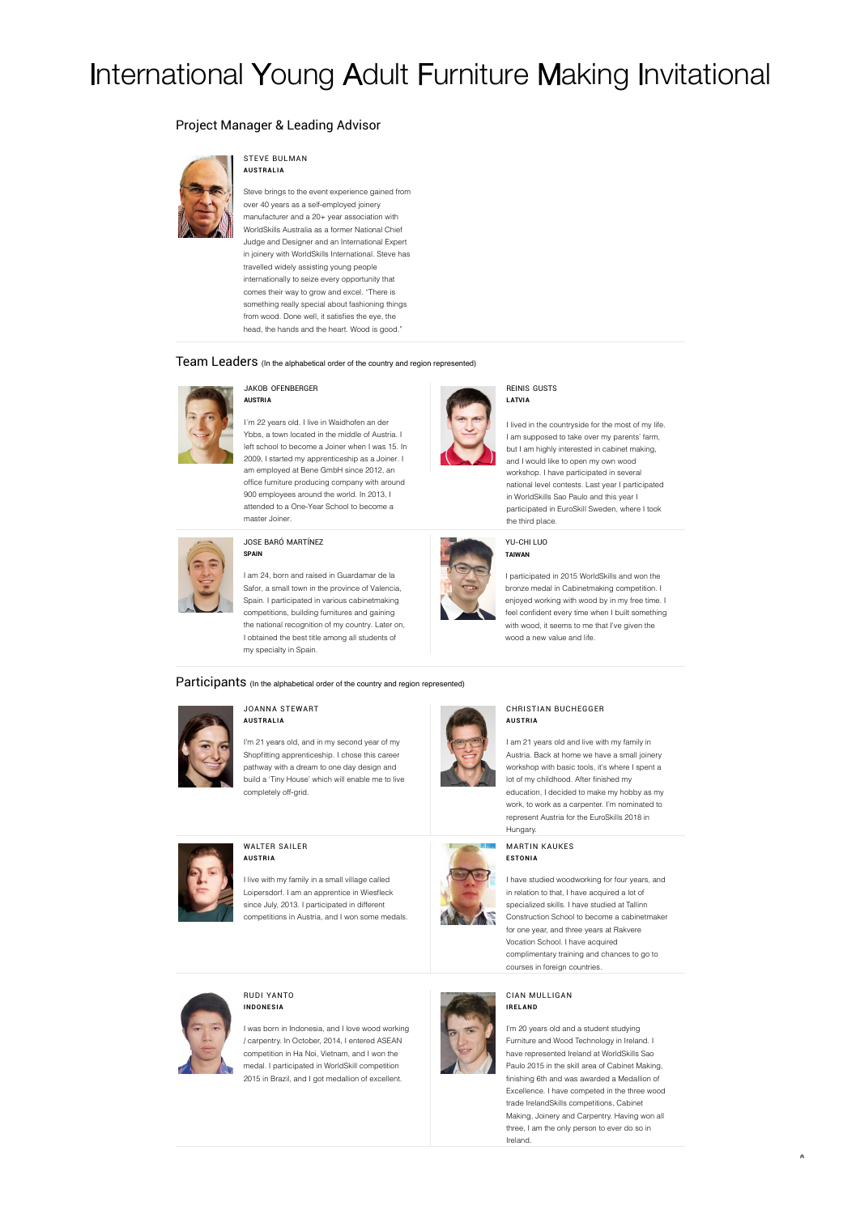# International Young Adult Furniture Making Invitational

# Project Manager & Leading Advisor



# STEVE BULMAN **AUSTRALI A**

Steve brings to the event experience gained from over 40 years as a self-employed joinery manufacturer and a 20+ year association with WorldSkills Australia as a former National Chief Judge and Designer and an International Expert in joinery with WorldSkills International. Steve has travelled widely assisting young people internationally to seize every opportunity that comes their way to grow and excel. "There is something really special about fashioning things from wood. Done well, it satisfies the eye, the head, the hands and the heart. Wood is good."

# Team Leaders (In the alphabetical order of the country and region represented)



### JAKOB OFENBERGER **AUSTRIA**

I´m 22 years old. I live in Waidhofen an der Ybbs, a town located in the middle of Austria. I left school to become a Joiner when I was 15. In 2009, I started my apprenticeship as a Joiner. I am employed at Bene GmbH since 2012, an office furniture producing company with around 900 employees around the world. In 2013, I attended to a One-Year School to become a master Joiner.



### JOSE BARÓ MARTÍNEZ **SPAIN**

I am 24, born and raised in Guardamar de la Safor, a small town in the province of Valencia, Spain. I participated in various cabinetmaking competitions, building furnitures and gaining the national recognition of my country. Later on, I obtained the best title among all students of my specialty in Spain.

Participants (In the alphabetical order of the country and region represented)



# JOANNA STEWART **AUSTRALI A**

I'm 21 years old, and in my second year of my Shopfitting apprenticeship. I chose this career pathway with a dream to one day design and build a 'Tiny House' which will enable me to live completely off-grid.



# WALTER SAILER **AUSTRI A**

I live with my family in a small village called Loipersdorf. I am an apprentice in Wiesfleck since July, 2013. I participated in different competitions in Austria, and I won some medals.



# RUDI YANTO **INDONESIA**

I was born in Indonesia, and I love wood working / carpentry. In October, 2014, I entered ASEAN competition in Ha Noi, Vietnam, and I won the medal. I participated in WorldSkill competition 2015 in Brazil, and I got medallion of excellent.



# REINIS GUSTS **LATVIA**

I lived in the countryside for the most of my life. I am supposed to take over my parents' farm but I am highly interested in cabinet making, and I would like to open my own wood workshop. I have participated in several national level contests. Last year I participated in WorldSkills Sao Paulo and this year I participated in EuroSkill Sweden, where I took the third place.



I participated in 2015 WorldSkills and won the bronze medal in Cabinetmaking competition. I enjoyed working with wood by in my free time. I feel confident every time when I built something with wood, it seems to me that I've given the wood a new value and life.

# CHRISTIAN BUCHEGGER **AUSTRI A**

I am 21 years old and live with my family in Austria. Back at home we have a small joinery workshop with basic tools, it's where I spent a lot of my childhood. After finished my education, I decided to make my hobby as my work, to work as a carpenter. I'm nominated to represent Austria for the EuroSkills 2018 in

MARTIN KAUKES



I have studied woodworking for four years, and in relation to that, I have acquired a lot of specialized skills. I have studied at Tallinn Construction School to become a cabinetmaker for one year, and three years at Rakvere Vocation School. I have acquired complimentary training and chances to go to



I'm 20 years old and a student studying Furniture and Wood Technology in Ireland. I have represented Ireland at WorldSkills Sao Paulo 2015 in the skill area of Cabinet Making, finishing 6th and was awarded a Medallion of Excellence. I have competed in the three wood trade IrelandSkills competitions, Cabinet Making, Joinery and Carpentry. Having won all three, I am the only person to ever do so in Ireland.

∧



Hungary. **ESTONI A**